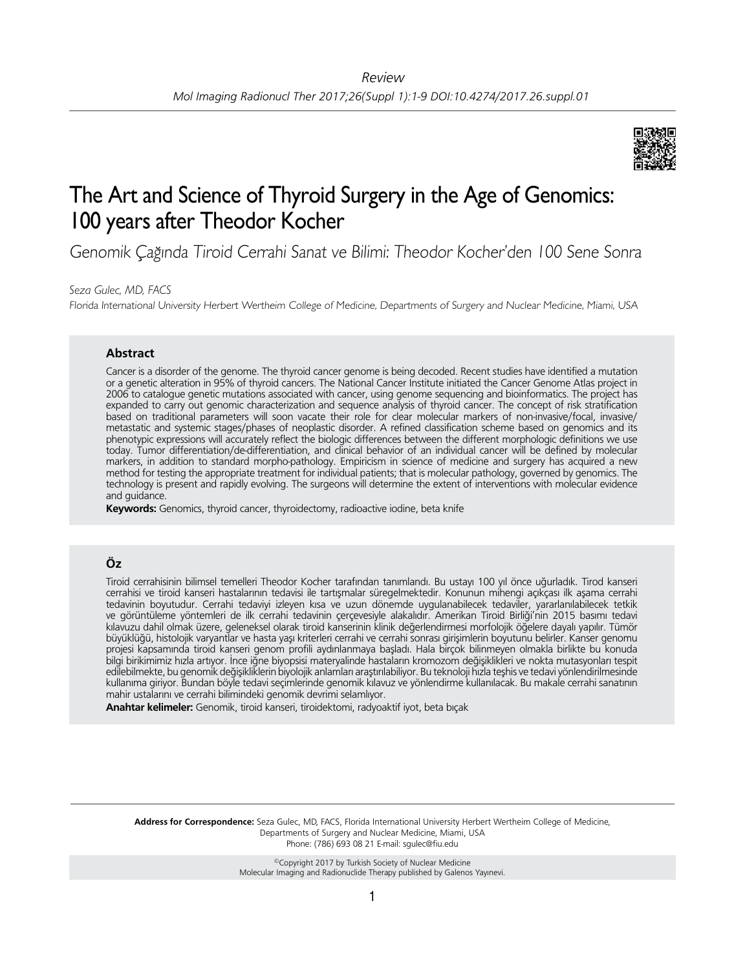

# The Art and Science of Thyroid Surgery in the Age of Genomics: 100 years after Theodor Kocher

Genomik Çağında Tiroid Cerrahi Sanat ve Bilimi: Theodor Kocher'den 100 Sene Sonra

### *Seza Gulec, MD, FACS*

Florida International University Herbert Wertheim College of Medicine, Departments of Surgery and Nuclear Medicine, Miami, USA

## **Abstract**

Cancer is a disorder of the genome. The thyroid cancer genome is being decoded. Recent studies have identified a mutation or a genetic alteration in 95% of thyroid cancers. The National Cancer Institute initiated the Cancer Genome Atlas project in 2006 to catalogue genetic mutations associated with cancer, using genome sequencing and bioinformatics. The project has expanded to carry out genomic characterization and sequence analysis of thyroid cancer. The concept of risk stratification based on traditional parameters will soon vacate their role for clear molecular markers of non-invasive/focal, invasive/ metastatic and systemic stages/phases of neoplastic disorder. A refined classification scheme based on genomics and its phenotypic expressions will accurately reflect the biologic differences between the different morphologic definitions we use today. Tumor differentiation/de-differentiation, and clinical behavior of an individual cancer will be defined by molecular markers, in addition to standard morpho-pathology. Empiricism in science of medicine and surgery has acquired a new method for testing the appropriate treatment for individual patients; that is molecular pathology, governed by genomics. The technology is present and rapidly evolving. The surgeons will determine the extent of interventions with molecular evidence and guidance.

**Keywords:** Genomics, thyroid cancer, thyroidectomy, radioactive iodine, beta knife

## **Öz**

Tiroid cerrahisinin bilimsel temelleri Theodor Kocher tarafından tanımlandı. Bu ustayı 100 yıl önce uğurladık. Tirod kanseri cerrahisi ve tiroid kanseri hastalarının tedavisi ile tartışmalar süregelmektedir. Konunun mihengi açıkçası ilk aşama cerrahi tedavinin boyutudur. Cerrahi tedaviyi izleyen kısa ve uzun dönemde uygulanabilecek tedaviler, yararlanılabilecek tetkik ve görüntüleme yöntemleri de ilk cerrahi tedavinin çerçevesiyle alakalıdır. Amerikan Tiroid Birliği'nin 2015 basımı tedavi kılavuzu dahil olmak üzere, geleneksel olarak tiroid kanserinin klinik değerlendirmesi morfolojik öğelere dayalı yapılır. Tümör büyüklüğü, histolojik varyantlar ve hasta yaşı kriterleri cerrahi ve cerrahi sonrası girişimlerin boyutunu belirler. Kanser genomu projesi kapsamında tiroid kanseri genom profili aydınlanmaya başladı. Hala birçok bilinmeyen olmakla birlikte bu konuda bilgi birikimimiz hızla artıyor. İnce iğne biyopsisi materyalinde hastaların kromozom değişiklikleri ve nokta mutasyonları tespit edilebilmekte, bu genomik değişikliklerin biyolojik anlamları araştırılabiliyor. Bu teknoloji hızla teşhis ve tedavi yönlendirilmesinde kullanıma giriyor. Bundan böyle tedavi seçimlerinde genomik kılavuz ve yönlendirme kullanılacak. Bu makale cerrahi sanatının mahir ustalarını ve cerrahi bilimindeki genomik devrimi selamlıyor.

**Anahtar kelimeler:** Genomik, tiroid kanseri, tiroidektomi, radyoaktif iyot, beta bıçak

**Address for Correspondence:** Seza Gulec, MD, FACS, Florida International University Herbert Wertheim College of Medicine, Departments of Surgery and Nuclear Medicine, Miami, USA Phone: (786) 693 08 21 E-mail: sgulec@fiu.edu

> ©Copyright 2017 by Turkish Society of Nuclear Medicine Molecular Imaging and Radionuclide Therapy published by Galenos Yayınevi.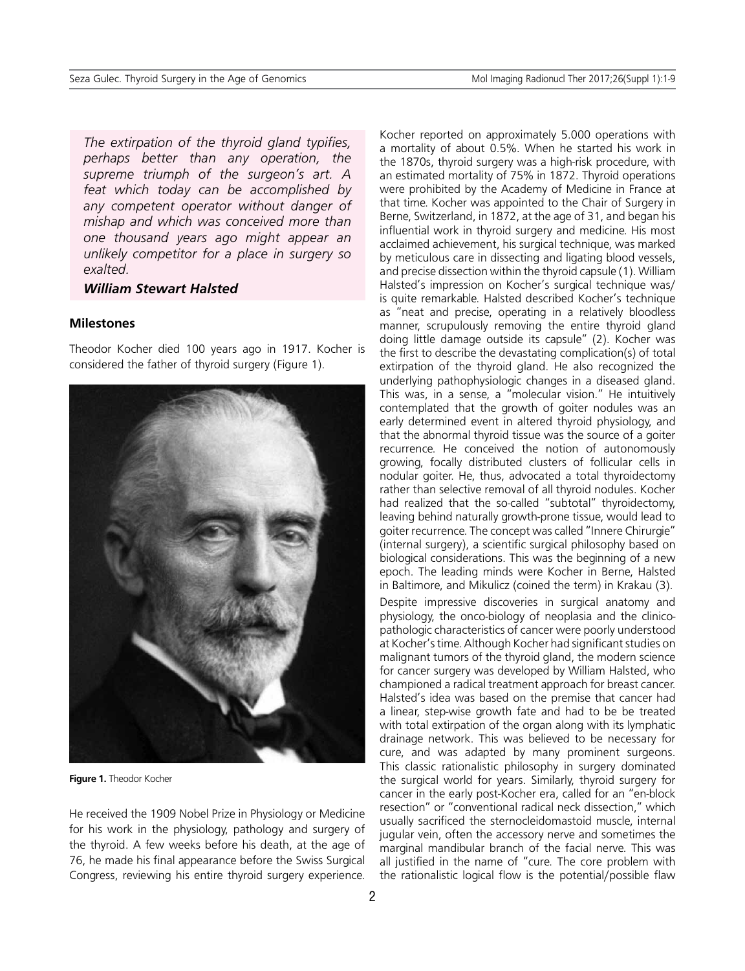*The extirpation of the thyroid gland typifies, perhaps better than any operation, the supreme triumph of the surgeon's art. A feat which today can be accomplished by any competent operator without danger of mishap and which was conceived more than one thousand years ago might appear an unlikely competitor for a place in surgery so exalted.* 

*William Stewart Halsted*

## **Milestones**

Theodor Kocher died 100 years ago in 1917. Kocher is considered the father of thyroid surgery (Figure 1).



**Figure 1.** Theodor Kocher

He received the 1909 Nobel Prize in Physiology or Medicine for his work in the physiology, pathology and surgery of the thyroid. A few weeks before his death, at the age of 76, he made his final appearance before the Swiss Surgical Congress, reviewing his entire thyroid surgery experience.

Kocher reported on approximately 5.000 operations with a mortality of about 0.5%. When he started his work in the 1870s, thyroid surgery was a high-risk procedure, with an estimated mortality of 75% in 1872. Thyroid operations were prohibited by the Academy of Medicine in France at that time. Kocher was appointed to the Chair of Surgery in Berne, Switzerland, in 1872, at the age of 31, and began his influential work in thyroid surgery and medicine. His most acclaimed achievement, his surgical technique, was marked by meticulous care in dissecting and ligating blood vessels, and precise dissection within the thyroid capsule (1). William Halsted's impression on Kocher's surgical technique was/ is quite remarkable. Halsted described Kocher's technique as "neat and precise, operating in a relatively bloodless manner, scrupulously removing the entire thyroid gland doing little damage outside its capsule" (2). Kocher was the first to describe the devastating complication(s) of total extirpation of the thyroid gland. He also recognized the underlying pathophysiologic changes in a diseased gland. This was, in a sense, a "molecular vision." He intuitively contemplated that the growth of goiter nodules was an early determined event in altered thyroid physiology, and that the abnormal thyroid tissue was the source of a goiter recurrence. He conceived the notion of autonomously growing, focally distributed clusters of follicular cells in nodular goiter. He, thus, advocated a total thyroidectomy rather than selective removal of all thyroid nodules. Kocher had realized that the so-called "subtotal" thyroidectomy, leaving behind naturally growth-prone tissue, would lead to goiter recurrence. The concept was called "Innere Chirurgie" (internal surgery), a scientific surgical philosophy based on biological considerations. This was the beginning of a new epoch. The leading minds were Kocher in Berne, Halsted in Baltimore, and Mikulicz (coined the term) in Krakau (3).

Despite impressive discoveries in surgical anatomy and physiology, the onco-biology of neoplasia and the clinicopathologic characteristics of cancer were poorly understood at Kocher's time. Although Kocher had significant studies on malignant tumors of the thyroid gland, the modern science for cancer surgery was developed by William Halsted, who championed a radical treatment approach for breast cancer. Halsted's idea was based on the premise that cancer had a linear, step-wise growth fate and had to be be treated with total extirpation of the organ along with its lymphatic drainage network. This was believed to be necessary for cure, and was adapted by many prominent surgeons. This classic rationalistic philosophy in surgery dominated the surgical world for years. Similarly, thyroid surgery for cancer in the early post-Kocher era, called for an "en-block resection" or "conventional radical neck dissection," which usually sacrificed the sternocleidomastoid muscle, internal jugular vein, often the accessory nerve and sometimes the marginal mandibular branch of the facial nerve. This was all justified in the name of "cure. The core problem with the rationalistic logical flow is the potential/possible flaw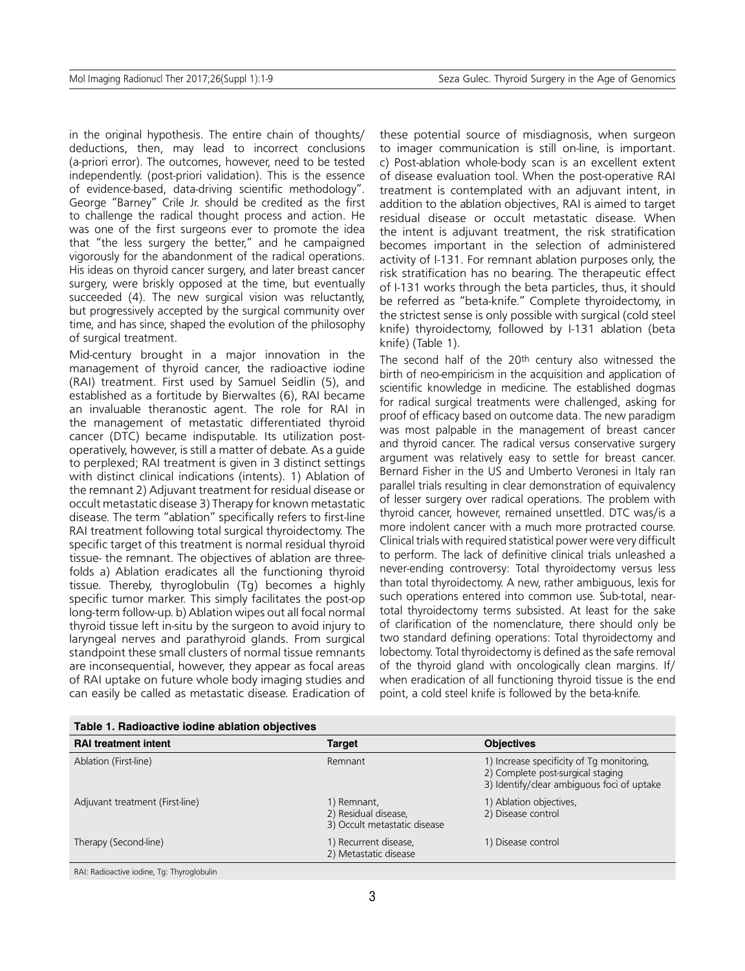in the original hypothesis. The entire chain of thoughts/ deductions, then, may lead to incorrect conclusions (a-priori error). The outcomes, however, need to be tested independently. (post-priori validation). This is the essence of evidence-based, data-driving scientific methodology". George "Barney" Crile Jr. should be credited as the first to challenge the radical thought process and action. He was one of the first surgeons ever to promote the idea that "the less surgery the better," and he campaigned vigorously for the abandonment of the radical operations. His ideas on thyroid cancer surgery, and later breast cancer surgery, were briskly opposed at the time, but eventually succeeded (4). The new surgical vision was reluctantly, but progressively accepted by the surgical community over time, and has since, shaped the evolution of the philosophy of surgical treatment.

Mid-century brought in a major innovation in the management of thyroid cancer, the radioactive iodine (RAI) treatment. First used by Samuel Seidlin (5), and established as a fortitude by Bierwaltes (6), RAI became an invaluable theranostic agent. The role for RAI in the management of metastatic differentiated thyroid cancer (DTC) became indisputable. Its utilization postoperatively, however, is still a matter of debate. As a guide to perplexed; RAI treatment is given in 3 distinct settings with distinct clinical indications (intents). 1) Ablation of the remnant 2) Adjuvant treatment for residual disease or occult metastatic disease 3) Therapy for known metastatic disease. The term "ablation" specifically refers to first-line RAI treatment following total surgical thyroidectomy. The specific target of this treatment is normal residual thyroid tissue- the remnant. The objectives of ablation are threefolds a) Ablation eradicates all the functioning thyroid tissue. Thereby, thyroglobulin (Tg) becomes a highly specific tumor marker. This simply facilitates the post-op long-term follow-up. b) Ablation wipes out all focal normal thyroid tissue left in-situ by the surgeon to avoid injury to laryngeal nerves and parathyroid glands. From surgical standpoint these small clusters of normal tissue remnants are inconsequential, however, they appear as focal areas of RAI uptake on future whole body imaging studies and can easily be called as metastatic disease. Eradication of these potential source of misdiagnosis, when surgeon to imager communication is still on-line, is important. c) Post-ablation whole-body scan is an excellent extent of disease evaluation tool. When the post-operative RAI treatment is contemplated with an adjuvant intent, in addition to the ablation objectives, RAI is aimed to target residual disease or occult metastatic disease. When the intent is adjuvant treatment, the risk stratification becomes important in the selection of administered activity of I-131. For remnant ablation purposes only, the risk stratification has no bearing. The therapeutic effect of I-131 works through the beta particles, thus, it should be referred as "beta-knife." Complete thyroidectomy, in the strictest sense is only possible with surgical (cold steel knife) thyroidectomy, followed by I-131 ablation (beta knife) (Table 1).

The second half of the 20<sup>th</sup> century also witnessed the birth of neo-empiricism in the acquisition and application of scientific knowledge in medicine. The established dogmas for radical surgical treatments were challenged, asking for proof of efficacy based on outcome data. The new paradigm was most palpable in the management of breast cancer and thyroid cancer. The radical versus conservative surgery argument was relatively easy to settle for breast cancer. Bernard Fisher in the US and Umberto Veronesi in Italy ran parallel trials resulting in clear demonstration of equivalency of lesser surgery over radical operations. The problem with thyroid cancer, however, remained unsettled. DTC was/is a more indolent cancer with a much more protracted course. Clinical trials with required statistical power were very difficult to perform. The lack of definitive clinical trials unleashed a never-ending controversy: Total thyroidectomy versus less than total thyroidectomy. A new, rather ambiguous, lexis for such operations entered into common use. Sub-total, neartotal thyroidectomy terms subsisted. At least for the sake of clarification of the nomenclature, there should only be two standard defining operations: Total thyroidectomy and lobectomy. Total thyroidectomy is defined as the safe removal of the thyroid gland with oncologically clean margins. If/ when eradication of all functioning thyroid tissue is the end point, a cold steel knife is followed by the beta-knife.

| <b>RAI treatment intent</b>                | Target                                                              | <b>Objectives</b>                                                                                                            |  |  |  |
|--------------------------------------------|---------------------------------------------------------------------|------------------------------------------------------------------------------------------------------------------------------|--|--|--|
| Ablation (First-line)                      | Remnant                                                             | 1) Increase specificity of Tg monitoring,<br>2) Complete post-surgical staging<br>3) Identify/clear ambiguous foci of uptake |  |  |  |
| Adjuvant treatment (First-line)            | 1) Remnant,<br>2) Residual disease,<br>3) Occult metastatic disease | 1) Ablation objectives,<br>2) Disease control                                                                                |  |  |  |
| Therapy (Second-line)                      | 1) Recurrent disease,<br>2) Metastatic disease                      | 1) Disease control                                                                                                           |  |  |  |
| RAI: Radioactive iodine, Tg: Thyroglobulin |                                                                     |                                                                                                                              |  |  |  |

## **Table 1. Radioactive iodine ablation objectives**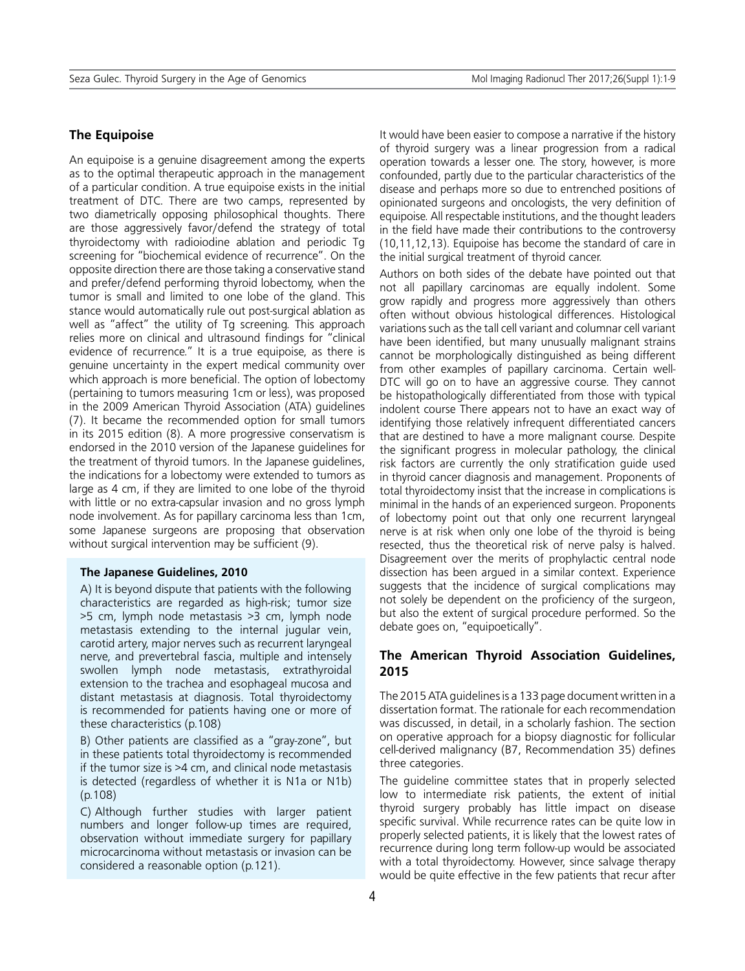## **The Equipoise**

An equipoise is a genuine disagreement among the experts as to the optimal therapeutic approach in the management of a particular condition. A true equipoise exists in the initial treatment of DTC. There are two camps, represented by two diametrically opposing philosophical thoughts. There are those aggressively favor/defend the strategy of total thyroidectomy with radioiodine ablation and periodic Tg screening for "biochemical evidence of recurrence". On the opposite direction there are those taking a conservative stand and prefer/defend performing thyroid lobectomy, when the tumor is small and limited to one lobe of the gland. This stance would automatically rule out post-surgical ablation as well as "affect" the utility of Tg screening. This approach relies more on clinical and ultrasound findings for "clinical evidence of recurrence." It is a true equipoise, as there is genuine uncertainty in the expert medical community over which approach is more beneficial. The option of lobectomy (pertaining to tumors measuring 1cm or less), was proposed in the 2009 American Thyroid Association (ATA) guidelines (7). It became the recommended option for small tumors in its 2015 edition (8). A more progressive conservatism is endorsed in the 2010 version of the Japanese guidelines for the treatment of thyroid tumors. In the Japanese guidelines, the indications for a lobectomy were extended to tumors as large as 4 cm, if they are limited to one lobe of the thyroid with little or no extra-capsular invasion and no gross lymph node involvement. As for papillary carcinoma less than 1cm, some Japanese surgeons are proposing that observation without surgical intervention may be sufficient (9).

#### **The Japanese Guidelines, 2010**

A) It is beyond dispute that patients with the following characteristics are regarded as high-risk; tumor size >5 cm, lymph node metastasis >3 cm, lymph node metastasis extending to the internal jugular vein, carotid artery, major nerves such as recurrent laryngeal nerve, and prevertebral fascia, multiple and intensely swollen lymph node metastasis, extrathyroidal extension to the trachea and esophageal mucosa and distant metastasis at diagnosis. Total thyroidectomy is recommended for patients having one or more of these characteristics (p.108)

B) Other patients are classified as a "gray-zone", but in these patients total thyroidectomy is recommended if the tumor size is >4 cm, and clinical node metastasis is detected (regardless of whether it is N1a or N1b) (p.108)

C) Although further studies with larger patient numbers and longer follow-up times are required, observation without immediate surgery for papillary microcarcinoma without metastasis or invasion can be considered a reasonable option (p.121).

It would have been easier to compose a narrative if the history of thyroid surgery was a linear progression from a radical operation towards a lesser one. The story, however, is more confounded, partly due to the particular characteristics of the disease and perhaps more so due to entrenched positions of opinionated surgeons and oncologists, the very definition of equipoise. All respectable institutions, and the thought leaders in the field have made their contributions to the controversy (10,11,12,13). Equipoise has become the standard of care in the initial surgical treatment of thyroid cancer.

Authors on both sides of the debate have pointed out that not all papillary carcinomas are equally indolent. Some grow rapidly and progress more aggressively than others often without obvious histological differences. Histological variations such as the tall cell variant and columnar cell variant have been identified, but many unusually malignant strains cannot be morphologically distinguished as being different from other examples of papillary carcinoma. Certain well-DTC will go on to have an aggressive course. They cannot be histopathologically differentiated from those with typical indolent course There appears not to have an exact way of identifying those relatively infrequent differentiated cancers that are destined to have a more malignant course. Despite the significant progress in molecular pathology, the clinical risk factors are currently the only stratification guide used in thyroid cancer diagnosis and management. Proponents of total thyroidectomy insist that the increase in complications is minimal in the hands of an experienced surgeon. Proponents of lobectomy point out that only one recurrent laryngeal nerve is at risk when only one lobe of the thyroid is being resected, thus the theoretical risk of nerve palsy is halved. Disagreement over the merits of prophylactic central node dissection has been argued in a similar context. Experience suggests that the incidence of surgical complications may not solely be dependent on the proficiency of the surgeon, but also the extent of surgical procedure performed. So the debate goes on, "equipoetically".

## **The American Thyroid Association Guidelines, 2015**

The 2015 ATA guidelines is a 133 page document written in a dissertation format. The rationale for each recommendation was discussed, in detail, in a scholarly fashion. The section on operative approach for a biopsy diagnostic for follicular cell-derived malignancy (B7, Recommendation 35) defines three categories.

The guideline committee states that in properly selected low to intermediate risk patients, the extent of initial thyroid surgery probably has little impact on disease specific survival. While recurrence rates can be quite low in properly selected patients, it is likely that the lowest rates of recurrence during long term follow-up would be associated with a total thyroidectomy. However, since salvage therapy would be quite effective in the few patients that recur after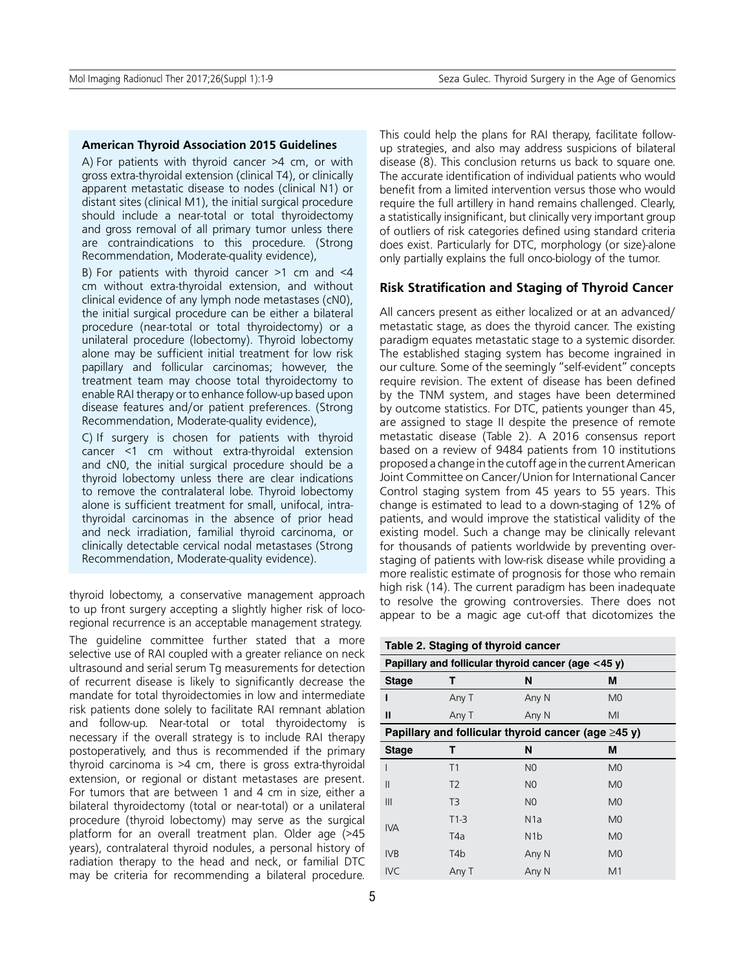#### **American Thyroid Association 2015 Guidelines**

A) For patients with thyroid cancer >4 cm, or with gross extra-thyroidal extension (clinical T4), or clinically apparent metastatic disease to nodes (clinical N1) or distant sites (clinical M1), the initial surgical procedure should include a near-total or total thyroidectomy and gross removal of all primary tumor unless there are contraindications to this procedure. (Strong Recommendation, Moderate-quality evidence),

B) For patients with thyroid cancer >1 cm and <4 cm without extra-thyroidal extension, and without clinical evidence of any lymph node metastases (cN0), the initial surgical procedure can be either a bilateral procedure (near-total or total thyroidectomy) or a unilateral procedure (lobectomy). Thyroid lobectomy alone may be sufficient initial treatment for low risk papillary and follicular carcinomas; however, the treatment team may choose total thyroidectomy to enable RAI therapy or to enhance follow-up based upon disease features and/or patient preferences. (Strong Recommendation, Moderate-quality evidence),

C) If surgery is chosen for patients with thyroid cancer <1 cm without extra-thyroidal extension and cN0, the initial surgical procedure should be a thyroid lobectomy unless there are clear indications to remove the contralateral lobe. Thyroid lobectomy alone is sufficient treatment for small, unifocal, intrathyroidal carcinomas in the absence of prior head and neck irradiation, familial thyroid carcinoma, or clinically detectable cervical nodal metastases (Strong Recommendation, Moderate-quality evidence).

thyroid lobectomy, a conservative management approach to up front surgery accepting a slightly higher risk of locoregional recurrence is an acceptable management strategy.

The guideline committee further stated that a more selective use of RAI coupled with a greater reliance on neck ultrasound and serial serum Tg measurements for detection of recurrent disease is likely to significantly decrease the mandate for total thyroidectomies in low and intermediate risk patients done solely to facilitate RAI remnant ablation and follow-up. Near-total or total thyroidectomy is necessary if the overall strategy is to include RAI therapy postoperatively, and thus is recommended if the primary thyroid carcinoma is >4 cm, there is gross extra-thyroidal extension, or regional or distant metastases are present. For tumors that are between 1 and 4 cm in size, either a bilateral thyroidectomy (total or near-total) or a unilateral procedure (thyroid lobectomy) may serve as the surgical platform for an overall treatment plan. Older age (>45 years), contralateral thyroid nodules, a personal history of radiation therapy to the head and neck, or familial DTC may be criteria for recommending a bilateral procedure. This could help the plans for RAI therapy, facilitate followup strategies, and also may address suspicions of bilateral disease (8). This conclusion returns us back to square one. The accurate identification of individual patients who would benefit from a limited intervention versus those who would require the full artillery in hand remains challenged. Clearly, a statistically insignificant, but clinically very important group of outliers of risk categories defined using standard criteria does exist. Particularly for DTC, morphology (or size)-alone only partially explains the full onco-biology of the tumor.

## **Risk Stratification and Staging of Thyroid Cancer**

All cancers present as either localized or at an advanced/ metastatic stage, as does the thyroid cancer. The existing paradigm equates metastatic stage to a systemic disorder. The established staging system has become ingrained in our culture. Some of the seemingly "self-evident" concepts require revision. The extent of disease has been defined by the TNM system, and stages have been determined by outcome statistics. For DTC, patients younger than 45, are assigned to stage II despite the presence of remote metastatic disease (Table 2). A 2016 consensus report based on a review of 9484 patients from 10 institutions proposed a change in the cutoff age in the current American Joint Committee on Cancer/Union for International Cancer Control staging system from 45 years to 55 years. This change is estimated to lead to a down-staging of 12% of patients, and would improve the statistical validity of the existing model. Such a change may be clinically relevant for thousands of patients worldwide by preventing overstaging of patients with low-risk disease while providing a more realistic estimate of prognosis for those who remain high risk (14). The current paradigm has been inadequate to resolve the growing controversies. There does not appear to be a magic age cut-off that dicotomizes the

| Table 2. Staging of thyroid cancer                        |                |                |                |  |  |  |  |
|-----------------------------------------------------------|----------------|----------------|----------------|--|--|--|--|
| Papillary and follicular thyroid cancer (age $<$ 45 y)    |                |                |                |  |  |  |  |
| <b>Stage</b>                                              | Т              | N              | М              |  |  |  |  |
|                                                           | Any T          | Any N          | M <sub>0</sub> |  |  |  |  |
| $\mathbf{I}$                                              | Any T          | Any N          | MI             |  |  |  |  |
| Papillary and follicular thyroid cancer (age $\geq$ 45 y) |                |                |                |  |  |  |  |
| <b>Stage</b>                                              | т              | N              | М              |  |  |  |  |
|                                                           | T1             | N <sub>0</sub> | M <sub>0</sub> |  |  |  |  |
| $\mathbf{I}$                                              | T <sub>2</sub> | N0             | M <sub>0</sub> |  |  |  |  |
| III                                                       | T <sub>3</sub> | N <sub>0</sub> | M <sub>0</sub> |  |  |  |  |
| <b>IVA</b>                                                | $T1-3$         | N1a            | M <sub>0</sub> |  |  |  |  |
|                                                           | T4a            | N1b            | M <sub>0</sub> |  |  |  |  |
| <b>IVB</b>                                                | T4b            | Any N          | M <sub>0</sub> |  |  |  |  |
| <b>IVC</b>                                                | Any T          | Any N          | M <sub>1</sub> |  |  |  |  |
|                                                           |                |                |                |  |  |  |  |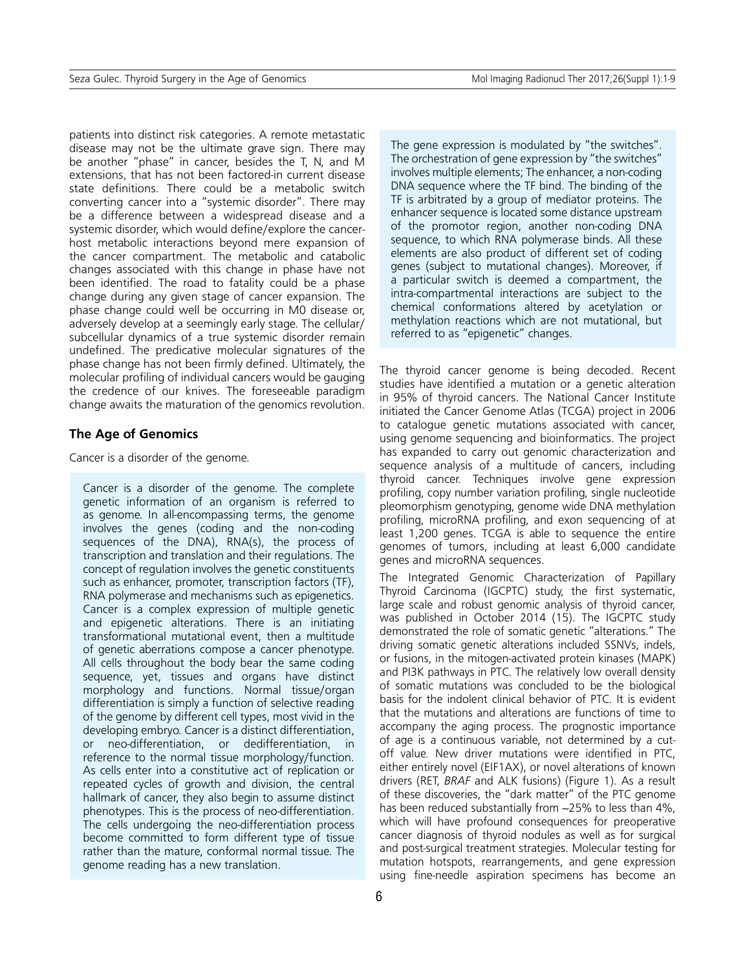patients into distinct risk categories. A remote metastatic disease may not be the ultimate grave sign. There may be another "phase" in cancer, besides the T, N, and M extensions, that has not been factored-in current disease state definitions. There could be a metabolic switch converting cancer into a "systemic disorder". There may be a difference between a widespread disease and a systemic disorder, which would define/explore the cancerhost metabolic interactions beyond mere expansion of the cancer compartment. The metabolic and catabolic changes associated with this change in phase have not been identified. The road to fatality could be a phase change during any given stage of cancer expansion. The phase change could well be occurring in M0 disease or, adversely develop at a seemingly early stage. The cellular/ subcellular dynamics of a true systemic disorder remain undefined. The predicative molecular signatures of the phase change has not been firmly defined. Ultimately, the molecular profiling of individual cancers would be gauging the credence of our knives. The foreseeable paradigm change awaits the maturation of the genomics revolution.

## **The Age of Genomics**

Cancer is a disorder of the genome.

Cancer is a disorder of the genome. The complete genetic information of an organism is referred to as genome. In all-encompassing terms, the genome involves the genes (coding and the non-coding sequences of the DNA), RNA(s), the process of transcription and translation and their regulations. The concept of regulation involves the genetic constituents such as enhancer, promoter, transcription factors (TF), RNA polymerase and mechanisms such as epigenetics. Cancer is a complex expression of multiple genetic and epigenetic alterations. There is an initiating transformational mutational event, then a multitude of genetic aberrations compose a cancer phenotype. All cells throughout the body bear the same coding sequence, yet, tissues and organs have distinct morphology and functions. Normal tissue/organ differentiation is simply a function of selective reading of the genome by different cell types, most vivid in the developing embryo. Cancer is a distinct differentiation, or neo-differentiation, or dedifferentiation, in reference to the normal tissue morphology/function. As cells enter into a constitutive act of replication or repeated cycles of growth and division, the central hallmark of cancer, they also begin to assume distinct phenotypes. This is the process of neo-differentiation. The cells undergoing the neo-differentiation process become committed to form different type of tissue rather than the mature, conformal normal tissue. The genome reading has a new translation.

The gene expression is modulated by "the switches". The orchestration of gene expression by "the switches" involves multiple elements; The enhancer, a non-coding DNA sequence where the TF bind. The binding of the TF is arbitrated by a group of mediator proteins. The enhancer sequence is located some distance upstream of the promotor region, another non-coding DNA sequence, to which RNA polymerase binds. All these elements are also product of different set of coding genes (subject to mutational changes). Moreover, if a particular switch is deemed a compartment, the intra-compartmental interactions are subject to the chemical conformations altered by acetylation or methylation reactions which are not mutational, but referred to as "epigenetic" changes.

The thyroid cancer genome is being decoded. Recent studies have identified a mutation or a genetic alteration in 95% of thyroid cancers. The National Cancer Institute initiated the Cancer Genome Atlas (TCGA) project in 2006 to catalogue genetic mutations associated with cancer, using genome sequencing and bioinformatics. The project has expanded to carry out genomic characterization and sequence analysis of a multitude of cancers, including thyroid cancer. Techniques involve gene expression profiling, copy number variation profiling, single nucleotide pleomorphism genotyping, genome wide DNA methylation profiling, microRNA profiling, and exon sequencing of at least 1,200 genes. TCGA is able to sequence the entire genomes of tumors, including at least 6,000 candidate genes and microRNA sequences.

The Integrated Genomic Characterization of Papillary Thyroid Carcinoma (IGCPTC) study, the first systematic, large scale and robust genomic analysis of thyroid cancer, was published in October 2014 (15). The IGCPTC study demonstrated the role of somatic genetic "alterations." The driving somatic genetic alterations included SSNVs, indels, or fusions, in the mitogen-activated protein kinases (MAPK) and PI3K pathways in PTC. The relatively low overall density of somatic mutations was concluded to be the biological basis for the indolent clinical behavior of PTC. It is evident that the mutations and alterations are functions of time to accompany the aging process. The prognostic importance of age is a continuous variable, not determined by a cutoff value. New driver mutations were identified in PTC, either entirely novel (EIF1AX), or novel alterations of known drivers (RET, *BRAF* and ALK fusions) (Figure 1). As a result of these discoveries, the "dark matter" of the PTC genome has been reduced substantially from ∼25% to less than 4%, which will have profound consequences for preoperative cancer diagnosis of thyroid nodules as well as for surgical and post-surgical treatment strategies. Molecular testing for mutation hotspots, rearrangements, and gene expression using fine-needle aspiration specimens has become an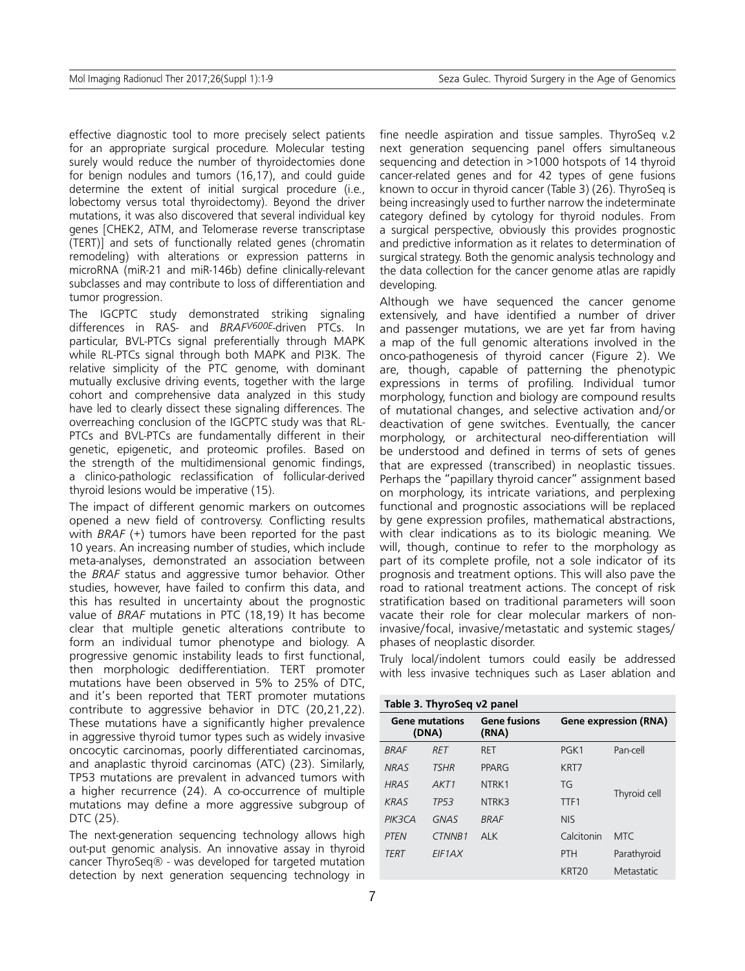effective diagnostic tool to more precisely select patients for an appropriate surgical procedure. Molecular testing surely would reduce the number of thyroidectomies done for benign nodules and tumors (16,17), and could guide determine the extent of initial surgical procedure (i.e., lobectomy versus total thyroidectomy). Beyond the driver mutations, it was also discovered that several individual key genes [CHEK2, ATM, and Telomerase reverse transcriptase (TERT)] and sets of functionally related genes (chromatin remodeling) with alterations or expression patterns in microRNA (miR-21 and miR-146b) define clinically-relevant subclasses and may contribute to loss of differentiation and tumor progression.

The IGCPTC study demonstrated striking signaling differences in RAS- and *BRAFV600E*-driven PTCs. In particular, BVL-PTCs signal preferentially through MAPK while RL-PTCs signal through both MAPK and PI3K. The relative simplicity of the PTC genome, with dominant mutually exclusive driving events, together with the large cohort and comprehensive data analyzed in this study have led to clearly dissect these signaling differences. The overreaching conclusion of the IGCPTC study was that RL-PTCs and BVL-PTCs are fundamentally different in their genetic, epigenetic, and proteomic profiles. Based on the strength of the multidimensional genomic findings, a clinico-pathologic reclassification of follicular-derived thyroid lesions would be imperative (15).

The impact of different genomic markers on outcomes opened a new field of controversy. Conflicting results with *BRAF* (+) tumors have been reported for the past 10 years. An increasing number of studies, which include meta-analyses, demonstrated an association between the *BRAF* status and aggressive tumor behavior. Other studies, however, have failed to confirm this data, and this has resulted in uncertainty about the prognostic value of *BRAF* mutations in PTC (18,19) It has become clear that multiple genetic alterations contribute to form an individual tumor phenotype and biology. A progressive genomic instability leads to first functional, then morphologic dedifferentiation. TERT promoter mutations have been observed in 5% to 25% of DTC, and it's been reported that TERT promoter mutations contribute to aggressive behavior in DTC (20,21,22). These mutations have a significantly higher prevalence in aggressive thyroid tumor types such as widely invasive oncocytic carcinomas, poorly differentiated carcinomas, and anaplastic thyroid carcinomas (ATC) (23). Similarly, TP53 mutations are prevalent in advanced tumors with a higher recurrence (24). A co-occurrence of multiple mutations may define a more aggressive subgroup of DTC (25).

The next-generation sequencing technology allows high out-put genomic analysis. An innovative assay in thyroid cancer ThyroSeq® - was developed for targeted mutation detection by next generation sequencing technology in fine needle aspiration and tissue samples. ThyroSeq v.2 next generation sequencing panel offers simultaneous sequencing and detection in >1000 hotspots of 14 thyroid cancer-related genes and for 42 types of gene fusions known to occur in thyroid cancer (Table 3) (26). ThyroSeq is being increasingly used to further narrow the indeterminate category defined by cytology for thyroid nodules. From a surgical perspective, obviously this provides prognostic and predictive information as it relates to determination of surgical strategy. Both the genomic analysis technology and the data collection for the cancer genome atlas are rapidly developing.

Although we have sequenced the cancer genome extensively, and have identified a number of driver and passenger mutations, we are yet far from having a map of the full genomic alterations involved in the onco-pathogenesis of thyroid cancer (Figure 2). We are, though, capable of patterning the phenotypic expressions in terms of profiling. Individual tumor morphology, function and biology are compound results of mutational changes, and selective activation and/or deactivation of gene switches. Eventually, the cancer morphology, or architectural neo-differentiation will be understood and defined in terms of sets of genes that are expressed (transcribed) in neoplastic tissues. Perhaps the "papillary thyroid cancer" assignment based on morphology, its intricate variations, and perplexing functional and prognostic associations will be replaced by gene expression profiles, mathematical abstractions, with clear indications as to its biologic meaning. We will, though, continue to refer to the morphology as part of its complete profile, not a sole indicator of its prognosis and treatment options. This will also pave the road to rational treatment actions. The concept of risk stratification based on traditional parameters will soon vacate their role for clear molecular markers of noninvasive/focal, invasive/metastatic and systemic stages/ phases of neoplastic disorder.

Truly local/indolent tumors could easily be addressed with less invasive techniques such as Laser ablation and

| Table 3. ThyroSeq v2 panel     |                     |                              |                              |              |  |  |
|--------------------------------|---------------------|------------------------------|------------------------------|--------------|--|--|
| <b>Gene mutations</b><br>(DNA) |                     | <b>Gene fusions</b><br>(RNA) | <b>Gene expression (RNA)</b> |              |  |  |
| <b>BRAF</b>                    | RET                 | RET                          | PGK1                         | Pan-cell     |  |  |
| <b>NRAS</b>                    | <b>TSHR</b>         | <b>PPARG</b>                 | KRT7                         |              |  |  |
| <b>HRAS</b>                    | AKT1                | NTRK1                        | TG                           | Thyroid cell |  |  |
| KRAS                           | TP53                | NTRK3                        | TTF1                         |              |  |  |
| PIK3CA                         | GNAS                | <b>BRAF</b>                  | <b>NIS</b>                   |              |  |  |
| <b>PTFN</b>                    | <b>CTNNB1</b>       | <b>ALK</b>                   | Calcitonin                   | <b>MTC</b>   |  |  |
| TERT                           | EIF <sub>1</sub> AX |                              | PTH                          | Parathyroid  |  |  |
|                                |                     |                              | KRT <sub>20</sub>            | Metastatic   |  |  |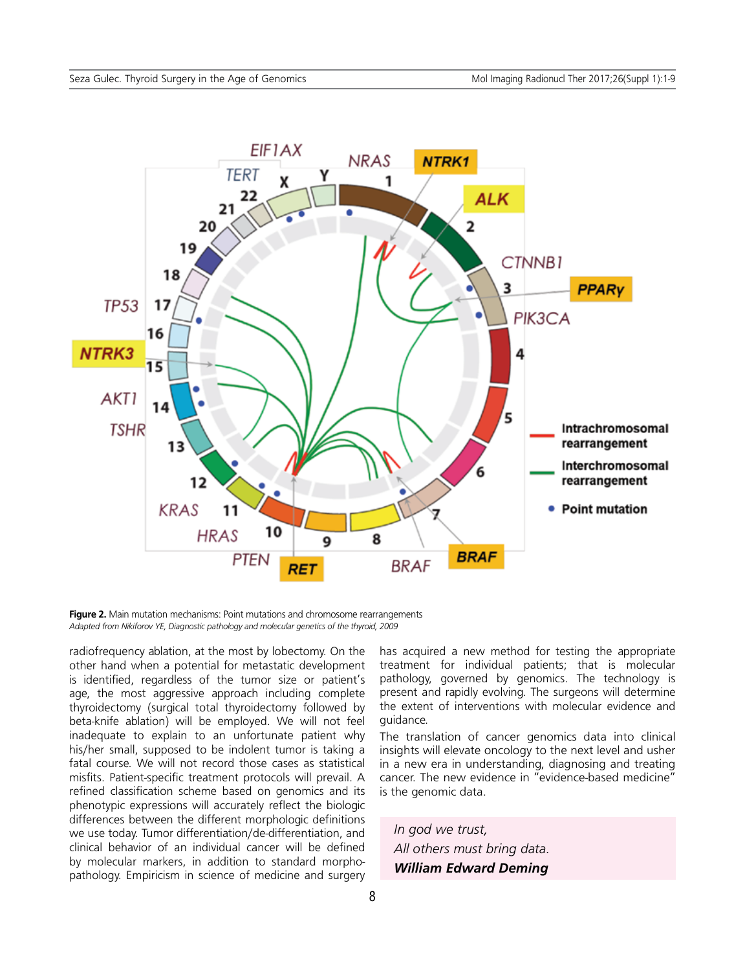

**Figure 2.** Main mutation mechanisms: Point mutations and chromosome rearrangements *Adapted from Nikiforov YE, Diagnostic pathology and molecular genetics of the thyroid, 2009*

radiofrequency ablation, at the most by lobectomy. On the other hand when a potential for metastatic development is identified, regardless of the tumor size or patient's age, the most aggressive approach including complete thyroidectomy (surgical total thyroidectomy followed by beta-knife ablation) will be employed. We will not feel inadequate to explain to an unfortunate patient why his/her small, supposed to be indolent tumor is taking a fatal course. We will not record those cases as statistical misfits. Patient-specific treatment protocols will prevail. A refined classification scheme based on genomics and its phenotypic expressions will accurately reflect the biologic differences between the different morphologic definitions we use today. Tumor differentiation/de-differentiation, and clinical behavior of an individual cancer will be defined by molecular markers, in addition to standard morphopathology. Empiricism in science of medicine and surgery has acquired a new method for testing the appropriate treatment for individual patients; that is molecular pathology, governed by genomics. The technology is present and rapidly evolving. The surgeons will determine the extent of interventions with molecular evidence and guidance.

The translation of cancer genomics data into clinical insights will elevate oncology to the next level and usher in a new era in understanding, diagnosing and treating cancer. The new evidence in "evidence-based medicine" is the genomic data.

*In god we trust, All others must bring data. William Edward Deming*